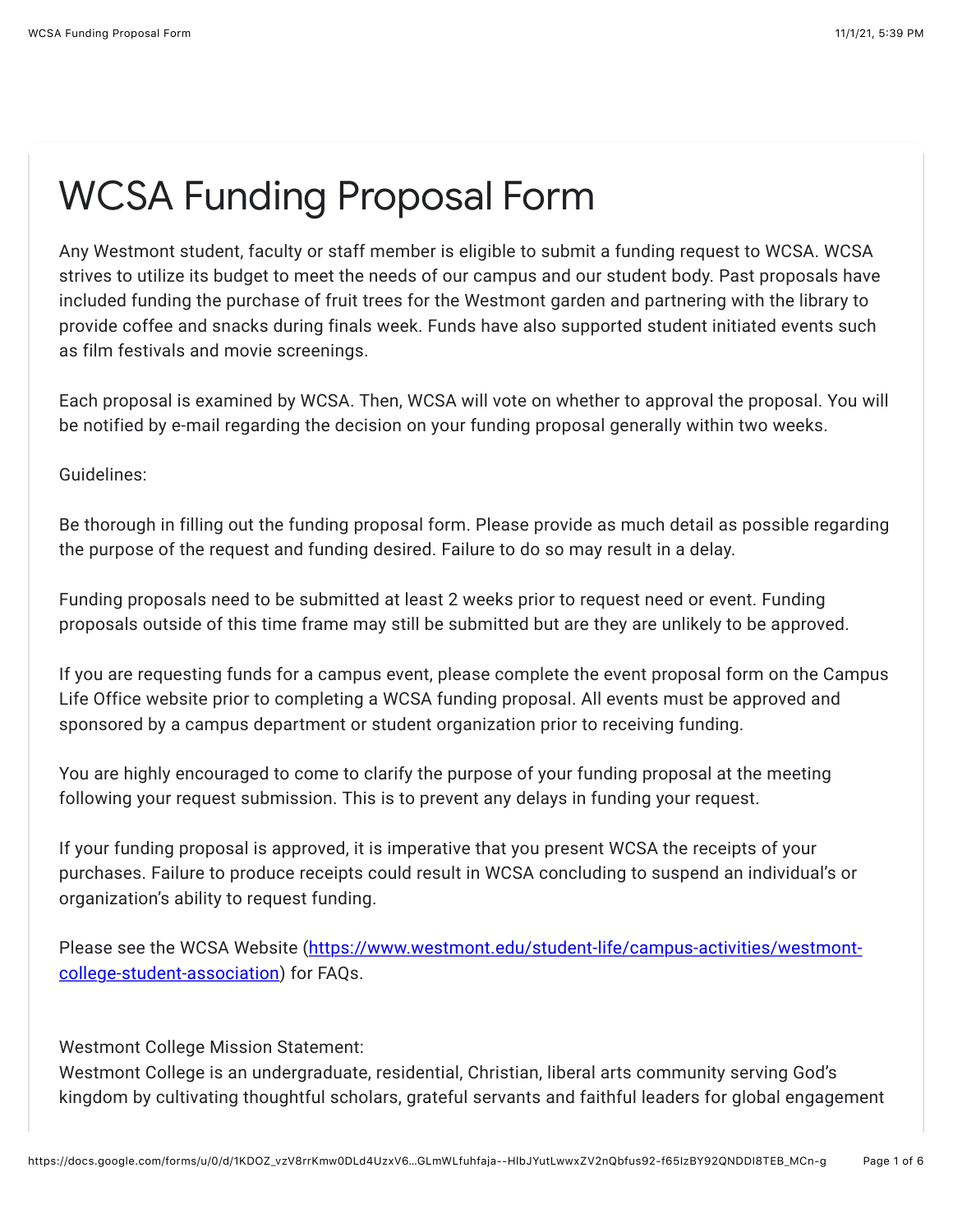## WCSA Funding Proposal Form

Any Westmont student, faculty or staff member is eligible to submit a funding request to WCSA. WCSA strives to utilize its budget to meet the needs of our campus and our student body. Past proposals have included funding the purchase of fruit trees for the Westmont garden and partnering with the library to provide coffee and snacks during finals week. Funds have also supported student initiated events such as film festivals and movie screenings.

Each proposal is examined by WCSA. Then, WCSA will vote on whether to approval the proposal. You will be notified by e-mail regarding the decision on your funding proposal generally within two weeks.

Guidelines:

Be thorough in filling out the funding proposal form. Please provide as much detail as possible regarding the purpose of the request and funding desired. Failure to do so may result in a delay.

Funding proposals need to be submitted at least 2 weeks prior to request need or event. Funding proposals outside of this time frame may still be submitted but are they are unlikely to be approved.

If you are requesting funds for a campus event, please complete the event proposal form on the Campus Life Office website prior to completing a WCSA funding proposal. All events must be approved and sponsored by a campus department or student organization prior to receiving funding.

You are highly encouraged to come to clarify the purpose of your funding proposal at the meeting following your request submission. This is to prevent any delays in funding your request.

If your funding proposal is approved, it is imperative that you present WCSA the receipts of your purchases. Failure to produce receipts could result in WCSA concluding to suspend an individual's or organization's ability to request funding.

[Please see the WCSA Website \(https://www.westmont.edu/student-life/campus-activities/westmont](https://www.google.com/url?q=https://www.westmont.edu/student-life/campus-activities/westmont-college-student-association&sa=D&source=editors&ust=1635817161696000&usg=AOvVaw0Y6y5i3_-MnfbYnkkhcga3)college-student-association) for FAQs.

Westmont College Mission Statement:

Westmont College is an undergraduate, residential, Christian, liberal arts community serving God's kingdom by cultivating thoughtful scholars, grateful servants and faithful leaders for global engagement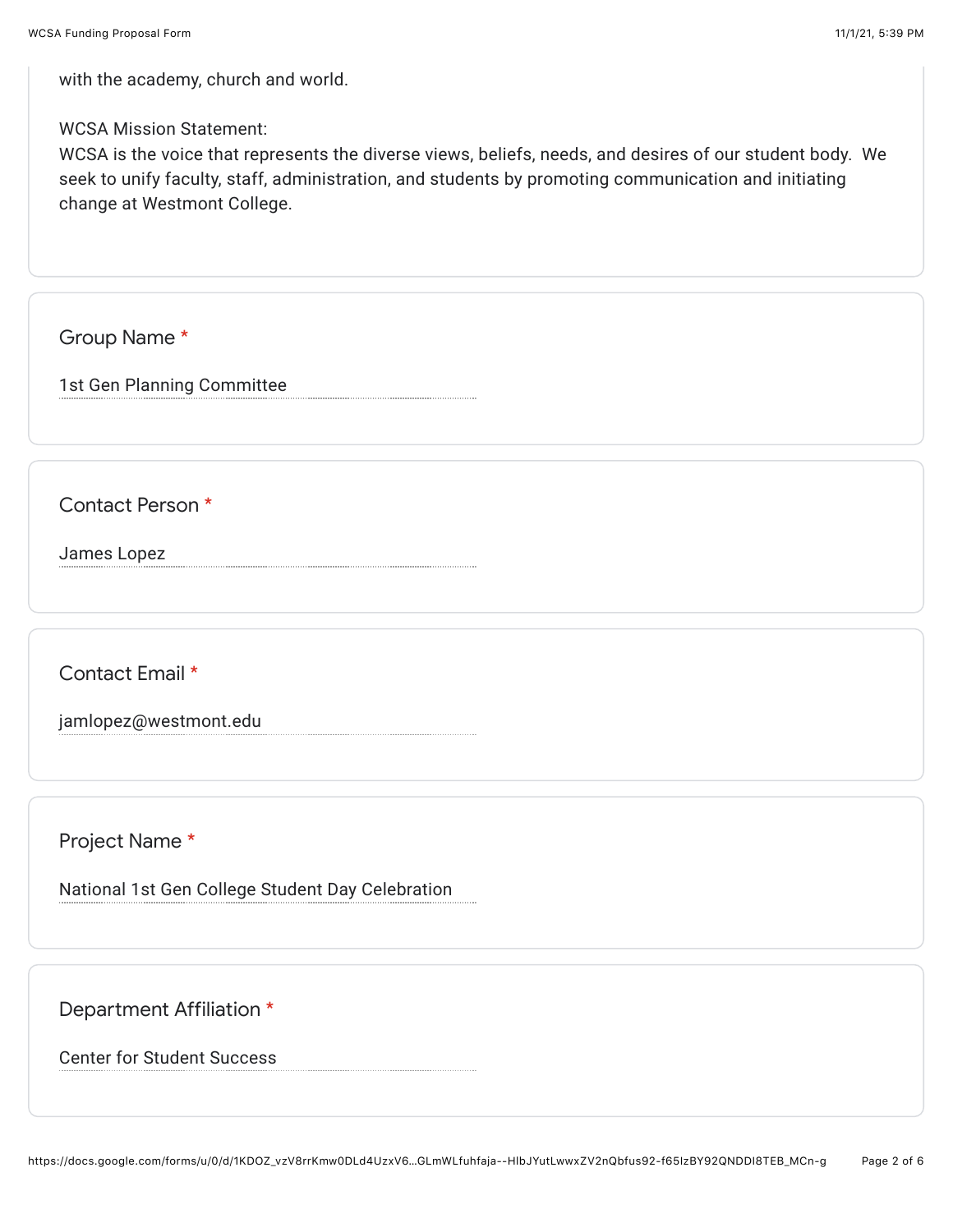with the academy, church and world.

WCSA Mission Statement:

WCSA is the voice that represents the diverse views, beliefs, needs, and desires of our student body. We seek to unify faculty, staff, administration, and students by promoting communication and initiating change at Westmont College.

Group Name \*

1st Gen Planning Committee

Contact Person \*

James Lopez

Contact Email \*

jamlopez@westmont.edu

Project Name \*

National 1st Gen College Student Day Celebration

Department Affiliation \*

Center for Student Success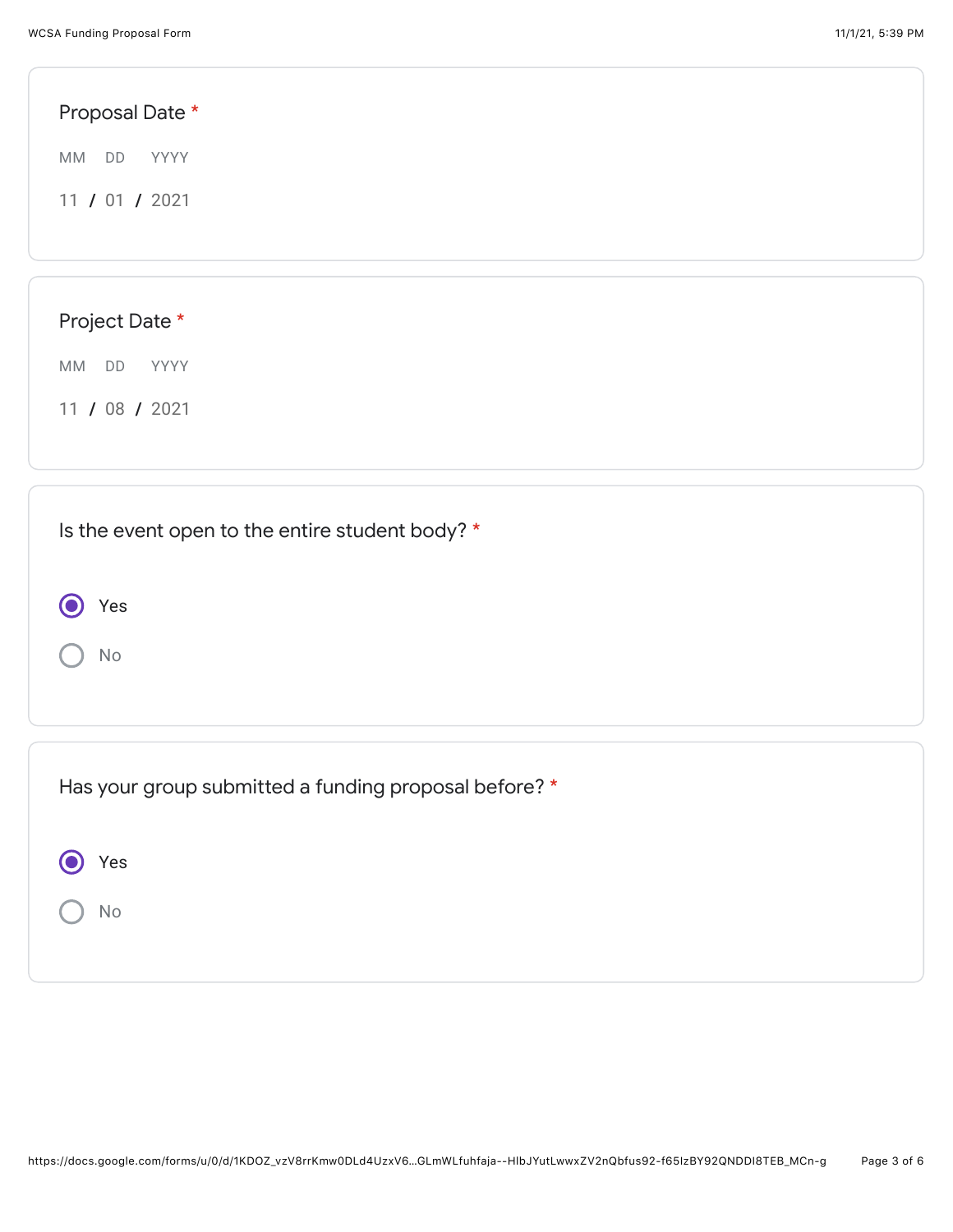| Proposal Date *                                 |  |
|-------------------------------------------------|--|
| MM DD<br>YYYY                                   |  |
| 11 / 01 / 2021                                  |  |
|                                                 |  |
|                                                 |  |
| Project Date *                                  |  |
| MM DD<br>YYYY                                   |  |
| 11 / 08 / 2021                                  |  |
|                                                 |  |
| Is the event open to the entire student body? * |  |

 $\bigcap$  No

 $\bigodot$ 

Yes

| Has your group submitted a funding proposal before? * |
|-------------------------------------------------------|
| Yes                                                   |
| No                                                    |
|                                                       |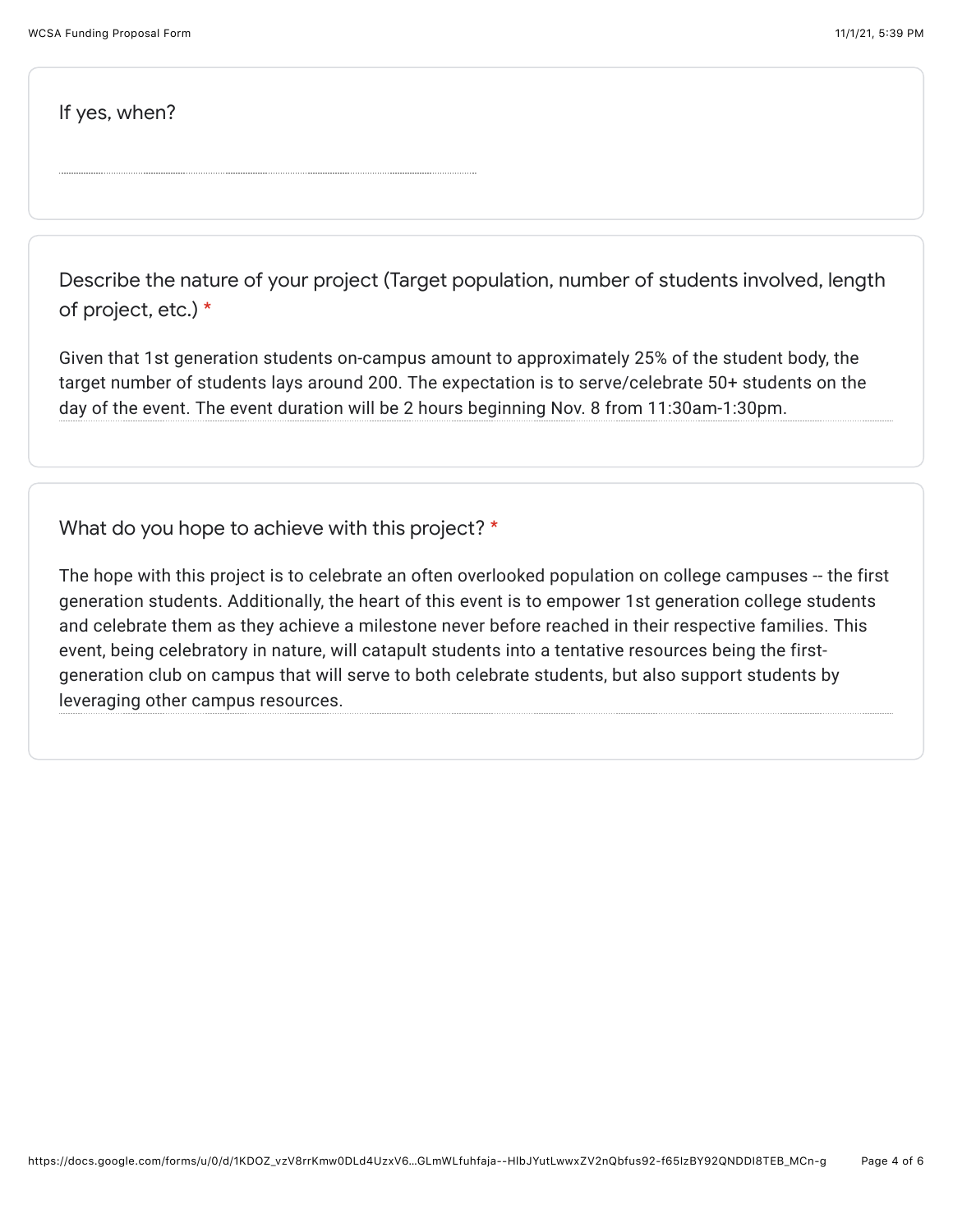If yes, when?

Describe the nature of your project (Target population, number of students involved, length of project, etc.) \*

Given that 1st generation students on-campus amount to approximately 25% of the student body, the target number of students lays around 200. The expectation is to serve/celebrate 50+ students on the day of the event. The event duration will be 2 hours beginning Nov. 8 from 11:30am-1:30pm.

What do you hope to achieve with this project? \*

The hope with this project is to celebrate an often overlooked population on college campuses -- the first generation students. Additionally, the heart of this event is to empower 1st generation college students and celebrate them as they achieve a milestone never before reached in their respective families. This event, being celebratory in nature, will catapult students into a tentative resources being the firstgeneration club on campus that will serve to both celebrate students, but also support students by leveraging other campus resources.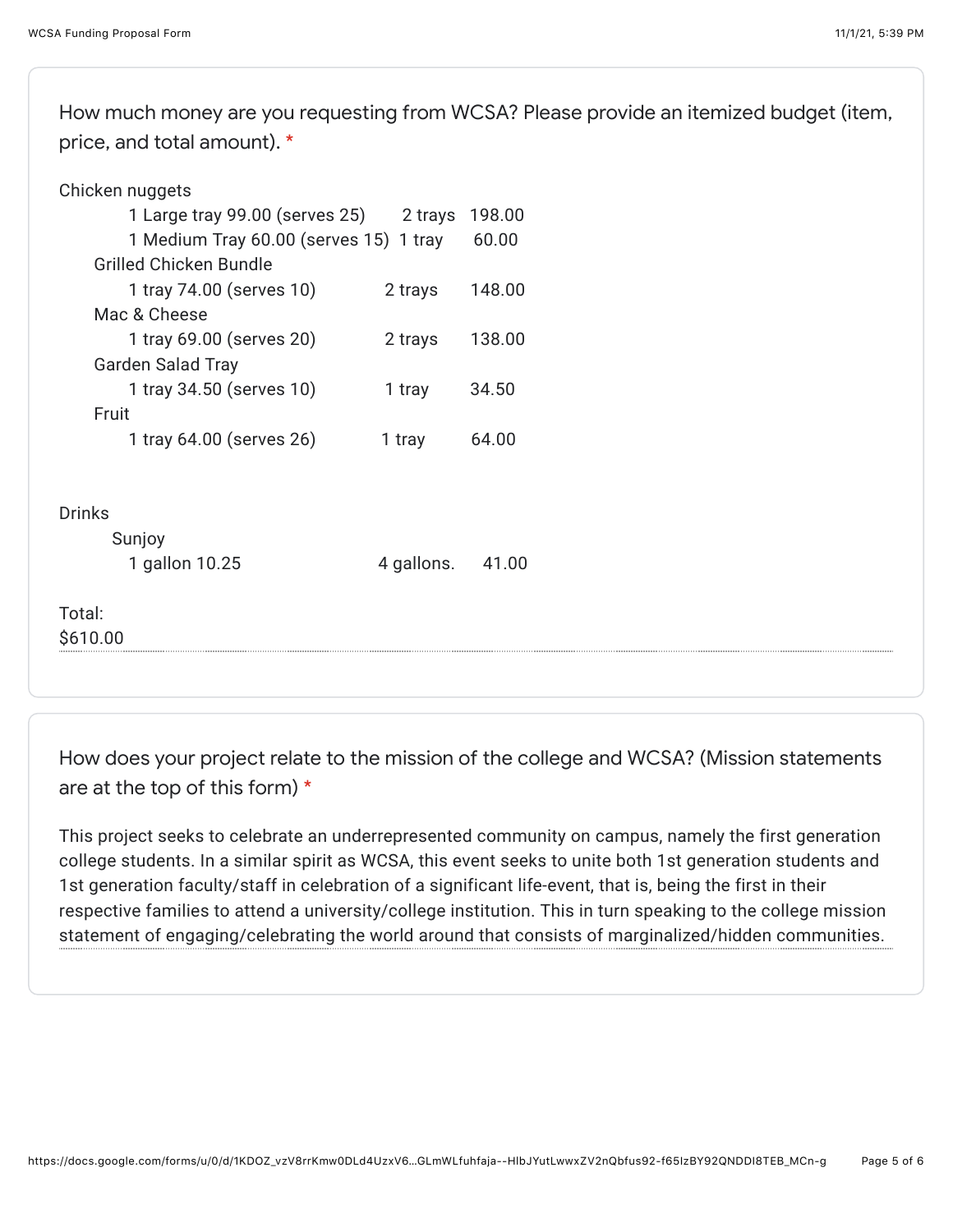How much money are you requesting from WCSA? Please provide an itemized budget (item, price, and total amount). \*

|               | Chicken nuggets                               |            |        |
|---------------|-----------------------------------------------|------------|--------|
|               | 1 Large tray 99.00 (serves 25) 2 trays 198.00 |            |        |
|               | 1 Medium Tray 60.00 (serves 15) 1 tray        |            | 60.00  |
|               | <b>Grilled Chicken Bundle</b>                 |            |        |
|               | 1 tray 74.00 (serves 10)                      | 2 trays    | 148.00 |
|               | Mac & Cheese                                  |            |        |
|               | 1 tray 69.00 (serves 20)                      | 2 trays    | 138.00 |
|               | <b>Garden Salad Tray</b>                      |            |        |
|               | 1 tray 34.50 (serves 10)                      | 1 tray     | 34.50  |
|               | Fruit                                         |            |        |
|               | 1 tray 64.00 (serves 26)                      | 1 tray     | 64.00  |
|               |                                               |            |        |
| <b>Drinks</b> |                                               |            |        |
|               | Sunjoy                                        |            |        |
|               | 1 gallon 10.25                                | 4 gallons. | 41.00  |
|               |                                               |            |        |
| Total:        |                                               |            |        |
| \$610.00      |                                               |            |        |
|               |                                               |            |        |

How does your project relate to the mission of the college and WCSA? (Mission statements are at the top of this form) \*

This project seeks to celebrate an underrepresented community on campus, namely the first generation college students. In a similar spirit as WCSA, this event seeks to unite both 1st generation students and 1st generation faculty/staff in celebration of a significant life-event, that is, being the first in their respective families to attend a university/college institution. This in turn speaking to the college mission statement of engaging/celebrating the world around that consists of marginalized/hidden communities.